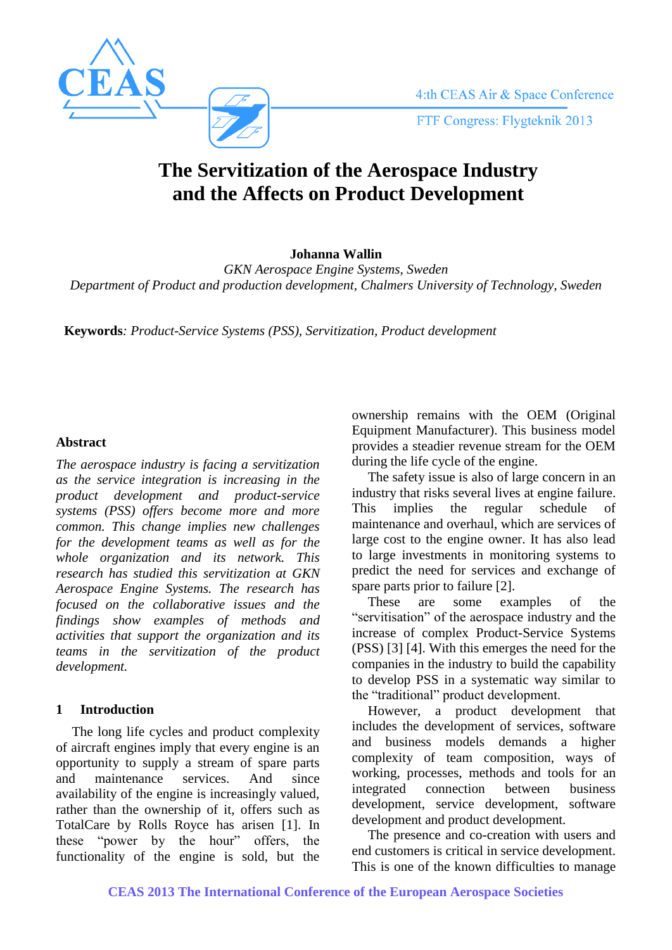

# **The Servitization of the Aerospace Industry and the Affects on Product Development**

**Johanna Wallin**

*GKN Aerospace Engine Systems, Sweden Department of Product and production development, Chalmers University of Technology, Sweden*

**Keywords***: Product-Service Systems (PSS), Servitization, Product development*

## **Abstract**

*The aerospace industry is facing a servitization as the service integration is increasing in the product development and product-service systems (PSS) offers become more and more common. This change implies new challenges for the development teams as well as for the whole organization and its network. This research has studied this servitization at GKN Aerospace Engine Systems. The research has focused on the collaborative issues and the findings show examples of methods and activities that support the organization and its teams in the servitization of the product development.*

# **1 Introduction**

The long life cycles and product complexity of aircraft engines imply that every engine is an opportunity to supply a stream of spare parts and maintenance services. And since availability of the engine is increasingly valued, rather than the ownership of it, offers such as TotalCare by Rolls Royce has arisen [1]. In these "power by the hour" offers, the functionality of the engine is sold, but the ownership remains with the OEM (Original Equipment Manufacturer). This business model provides a steadier revenue stream for the OEM during the life cycle of the engine.

The safety issue is also of large concern in an industry that risks several lives at engine failure. This implies the regular schedule of maintenance and overhaul, which are services of large cost to the engine owner. It has also lead to large investments in monitoring systems to predict the need for services and exchange of spare parts prior to failure [2].

These are some examples of the "servitisation" of the aerospace industry and the increase of complex Product-Service Systems (PSS) [3] [4]. With this emerges the need for the companies in the industry to build the capability to develop PSS in a systematic way similar to the "traditional" product development.

However, a product development that includes the development of services, software and business models demands a higher complexity of team composition, ways of working, processes, methods and tools for an integrated connection between business development, service development, software development and product development*.*

The presence and co-creation with users and end customers is critical in service development. This is one of the known difficulties to manage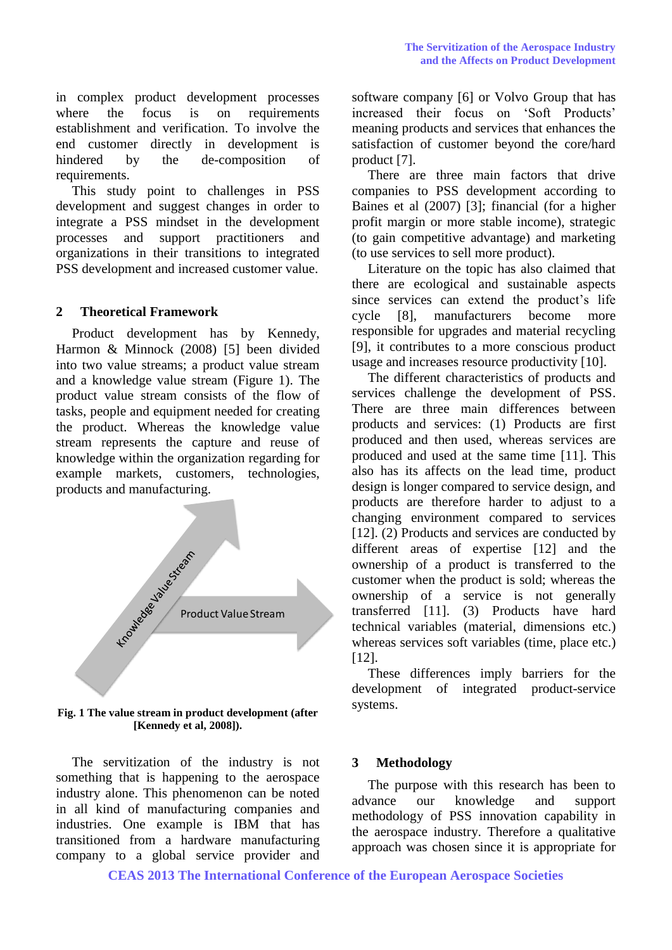in complex product development processes where the focus is on requirements establishment and verification. To involve the end customer directly in development is hindered by the de-composition of requirements.

This study point to challenges in PSS development and suggest changes in order to integrate a PSS mindset in the development processes and support practitioners and organizations in their transitions to integrated PSS development and increased customer value.

## **2 Theoretical Framework**

Product development has by Kennedy, Harmon & Minnock (2008) [5] been divided into two value streams; a product value stream and a knowledge value stream (Figure 1). The product value stream consists of the flow of tasks, people and equipment needed for creating the product. Whereas the knowledge value stream represents the capture and reuse of knowledge within the organization regarding for example markets, customers, technologies, products and manufacturing.



**Fig. 1 The value stream in product development (after [Kennedy et al, 2008]).**

The servitization of the industry is not something that is happening to the aerospace industry alone. This phenomenon can be noted in all kind of manufacturing companies and industries. One example is IBM that has transitioned from a hardware manufacturing company to a global service provider and software company [6] or Volvo Group that has increased their focus on 'Soft Products' meaning products and services that enhances the satisfaction of customer beyond the core/hard product [7].

There are three main factors that drive companies to PSS development according to Baines et al (2007) [3]; financial (for a higher profit margin or more stable income), strategic (to gain competitive advantage) and marketing (to use services to sell more product).

Literature on the topic has also claimed that there are ecological and sustainable aspects since services can extend the product's life cycle [8], manufacturers become more responsible for upgrades and material recycling [9], it contributes to a more conscious product usage and increases resource productivity [10].

The different characteristics of products and services challenge the development of PSS. There are three main differences between products and services: (1) Products are first produced and then used, whereas services are produced and used at the same time [11]. This also has its affects on the lead time, product design is longer compared to service design, and products are therefore harder to adjust to a changing environment compared to services [12]. (2) Products and services are conducted by different areas of expertise [12] and the ownership of a product is transferred to the customer when the product is sold; whereas the ownership of a service is not generally transferred [11]. (3) Products have hard technical variables (material, dimensions etc.) whereas services soft variables (time, place etc.) [12].

These differences imply barriers for the development of integrated product-service systems.

#### **3 Methodology**

The purpose with this research has been to advance our knowledge and support methodology of PSS innovation capability in the aerospace industry. Therefore a qualitative approach was chosen since it is appropriate for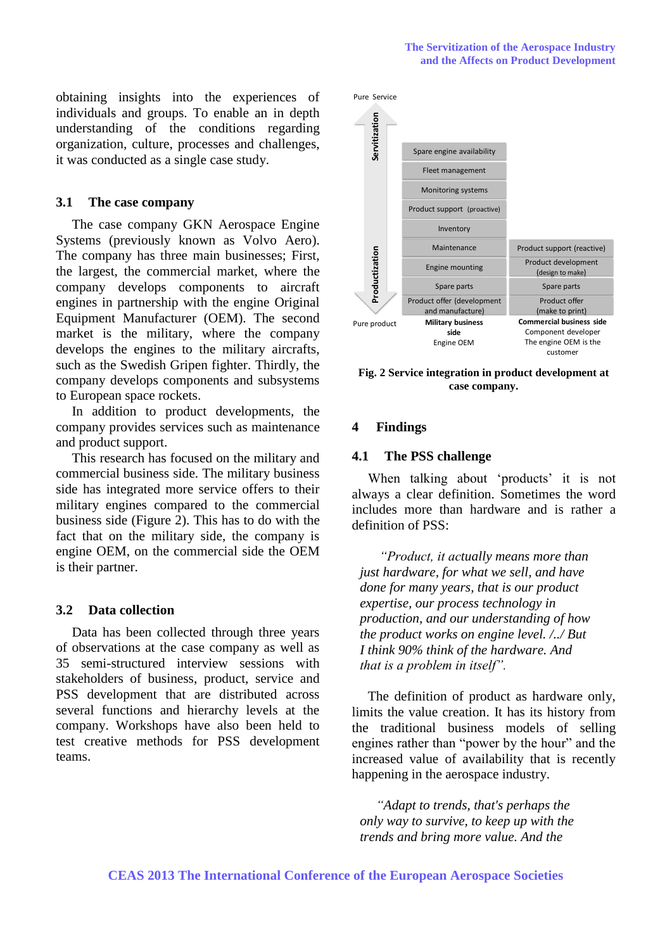obtaining insights into the experiences of individuals and groups. To enable an in depth understanding of the conditions regarding organization, culture, processes and challenges, it was conducted as a single case study.

## **3.1 The case company**

The case company GKN Aerospace Engine Systems (previously known as Volvo Aero). The company has three main businesses; First, the largest, the commercial market, where the company develops components to aircraft engines in partnership with the engine Original Equipment Manufacturer (OEM). The second market is the military, where the company develops the engines to the military aircrafts, such as the Swedish Gripen fighter. Thirdly, the company develops components and subsystems to European space rockets.

In addition to product developments, the company provides services such as maintenance and product support.

This research has focused on the military and commercial business side. The military business side has integrated more service offers to their military engines compared to the commercial business side (Figure 2). This has to do with the fact that on the military side, the company is engine OEM, on the commercial side the OEM is their partner.

#### **3.2 Data collection**

Data has been collected through three years of observations at the case company as well as 35 semi-structured interview sessions with stakeholders of business, product, service and PSS development that are distributed across several functions and hierarchy levels at the company. Workshops have also been held to test creative methods for PSS development teams.



**Fig. 2 Service integration in product development at case company.**

## **4 Findings**

#### **4.1 The PSS challenge**

When talking about 'products' it is not always a clear definition. Sometimes the word includes more than hardware and is rather a definition of PSS:

*"Product, it actually means more than just hardware, for what we sell, and have done for many years, that is our product expertise, our process technology in production, and our understanding of how the product works on engine level. /../ But I think 90% think of the hardware. And that is a problem in itself".*

The definition of product as hardware only, limits the value creation. It has its history from the traditional business models of selling engines rather than "power by the hour" and the increased value of availability that is recently happening in the aerospace industry.

*"Adapt to trends, that's perhaps the only way to survive, to keep up with the trends and bring more value. And the*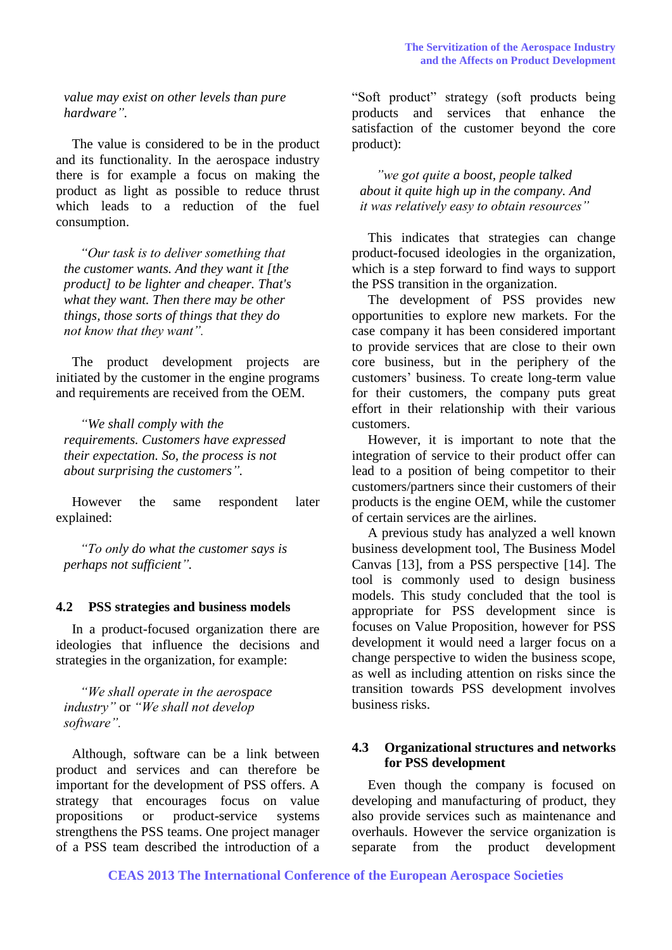*value may exist on other levels than pure hardware".*

The value is considered to be in the product and its functionality. In the aerospace industry there is for example a focus on making the product as light as possible to reduce thrust which leads to a reduction of the fuel consumption.

*"Our task is to deliver something that the customer wants. And they want it [the product] to be lighter and cheaper. That's what they want. Then there may be other things, those sorts of things that they do not know that they want".*

The product development projects are initiated by the customer in the engine programs and requirements are received from the OEM.

*"We shall comply with the requirements. Customers have expressed their expectation. So, the process is not about surprising the customers".* 

However the same respondent later explained:

*"To only do what the customer says is perhaps not sufficient".*

#### **4.2 PSS strategies and business models**

In a product-focused organization there are ideologies that influence the decisions and strategies in the organization, for example:

*"We shall operate in the aerospace industry"* or *"We shall not develop software".* 

Although, software can be a link between product and services and can therefore be important for the development of PSS offers. A strategy that encourages focus on value propositions or product-service systems strengthens the PSS teams. One project manager of a PSS team described the introduction of a "Soft product" strategy (soft products being products and services that enhance the satisfaction of the customer beyond the core product):

*"we got quite a boost, people talked about it quite high up in the company. And it was relatively easy to obtain resources"* 

This indicates that strategies can change product-focused ideologies in the organization, which is a step forward to find ways to support the PSS transition in the organization.

The development of PSS provides new opportunities to explore new markets. For the case company it has been considered important to provide services that are close to their own core business, but in the periphery of the customers' business. To create long-term value for their customers, the company puts great effort in their relationship with their various customers.

However, it is important to note that the integration of service to their product offer can lead to a position of being competitor to their customers/partners since their customers of their products is the engine OEM, while the customer of certain services are the airlines.

A previous study has analyzed a well known business development tool, The Business Model Canvas [13], from a PSS perspective [14]. The tool is commonly used to design business models. This study concluded that the tool is appropriate for PSS development since is focuses on Value Proposition, however for PSS development it would need a larger focus on a change perspective to widen the business scope, as well as including attention on risks since the transition towards PSS development involves business risks.

## **4.3 Organizational structures and networks for PSS development**

Even though the company is focused on developing and manufacturing of product, they also provide services such as maintenance and overhauls. However the service organization is separate from the product development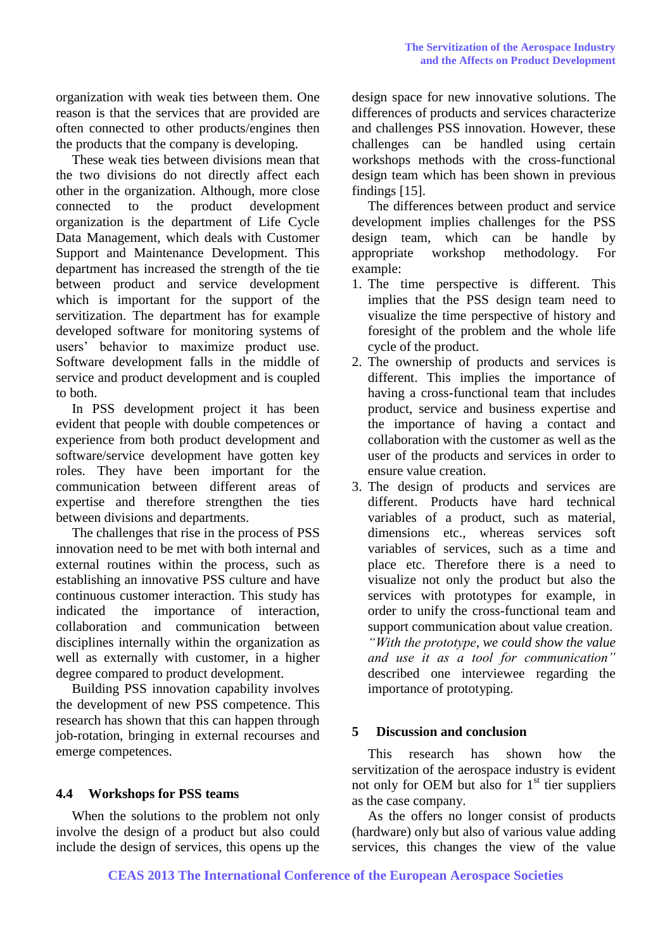organization with weak ties between them. One reason is that the services that are provided are often connected to other products/engines then the products that the company is developing.

These weak ties between divisions mean that the two divisions do not directly affect each other in the organization. Although, more close connected to the product development organization is the department of Life Cycle Data Management, which deals with Customer Support and Maintenance Development. This department has increased the strength of the tie between product and service development which is important for the support of the servitization. The department has for example developed software for monitoring systems of users' behavior to maximize product use. Software development falls in the middle of service and product development and is coupled to both.

In PSS development project it has been evident that people with double competences or experience from both product development and software/service development have gotten key roles. They have been important for the communication between different areas of expertise and therefore strengthen the ties between divisions and departments.

The challenges that rise in the process of PSS innovation need to be met with both internal and external routines within the process, such as establishing an innovative PSS culture and have continuous customer interaction. This study has indicated the importance of interaction, collaboration and communication between disciplines internally within the organization as well as externally with customer, in a higher degree compared to product development.

Building PSS innovation capability involves the development of new PSS competence. This research has shown that this can happen through job-rotation, bringing in external recourses and emerge competences.

## **4.4 Workshops for PSS teams**

When the solutions to the problem not only involve the design of a product but also could include the design of services, this opens up the design space for new innovative solutions. The differences of products and services characterize and challenges PSS innovation. However, these challenges can be handled using certain workshops methods with the cross-functional design team which has been shown in previous findings [15].

The differences between product and service development implies challenges for the PSS design team, which can be handle by appropriate workshop methodology. For methodology. For example:

- 1. The time perspective is different. This implies that the PSS design team need to visualize the time perspective of history and foresight of the problem and the whole life cycle of the product.
- 2. The ownership of products and services is different. This implies the importance of having a cross-functional team that includes product, service and business expertise and the importance of having a contact and collaboration with the customer as well as the user of the products and services in order to ensure value creation.
- 3. The design of products and services are different. Products have hard technical variables of a product, such as material, dimensions etc., whereas services soft variables of services, such as a time and place etc. Therefore there is a need to visualize not only the product but also the services with prototypes for example, in order to unify the cross-functional team and support communication about value creation. *"With the prototype, we could show the value and use it as a tool for communication"* described one interviewee regarding the importance of prototyping.

## **5 Discussion and conclusion**

This research has shown how the servitization of the aerospace industry is evident not only for OEM but also for  $1<sup>st</sup>$  tier suppliers as the case company.

As the offers no longer consist of products (hardware) only but also of various value adding services, this changes the view of the value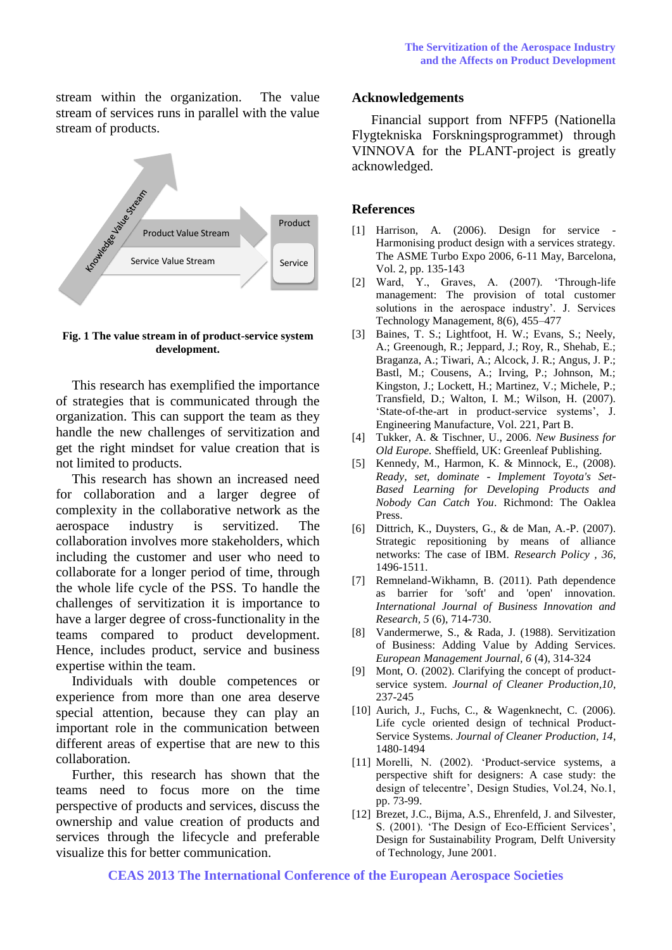stream within the organization. The value stream of services runs in parallel with the value stream of products.



**Fig. 1 The value stream in of product-service system development.**

This research has exemplified the importance of strategies that is communicated through the organization. This can support the team as they handle the new challenges of servitization and get the right mindset for value creation that is not limited to products.

This research has shown an increased need for collaboration and a larger degree of complexity in the collaborative network as the aerospace industry is servitized. The collaboration involves more stakeholders, which including the customer and user who need to collaborate for a longer period of time, through the whole life cycle of the PSS. To handle the challenges of servitization it is importance to have a larger degree of cross-functionality in the teams compared to product development. Hence, includes product, service and business expertise within the team.

Individuals with double competences or experience from more than one area deserve special attention, because they can play an important role in the communication between different areas of expertise that are new to this collaboration.

Further, this research has shown that the teams need to focus more on the time perspective of products and services, discuss the ownership and value creation of products and services through the lifecycle and preferable visualize this for better communication.

#### **Acknowledgements**

Financial support from NFFP5 (Nationella Flygtekniska Forskningsprogrammet) through VINNOVA for the PLANT-project is greatly acknowledged.

#### **References**

- $[1]$  Harrison, A.  $(2006)$ . Design for service Harmonising product design with a services strategy. The ASME Turbo Expo 2006, 6-11 May, Barcelona, Vol. 2, pp. 135-143
- [2] Ward, Y., Graves, A. (2007). 'Through-life management: The provision of total customer solutions in the aerospace industry'. J. Services Technology Management, 8(6), 455–477
- [3] Baines, T. S.; Lightfoot, H. W.; Evans, S.; Neely, A.; Greenough, R.; Jeppard, J.; Roy, R., Shehab, E.; Braganza, A.; Tiwari, A.; Alcock, J. R.; Angus, J. P.; Bastl, M.; Cousens, A.; Irving, P.; Johnson, M.; Kingston, J.; Lockett, H.; Martinez, V.; Michele, P.; Transfield, D.; Walton, I. M.; Wilson, H. (2007). 'State-of-the-art in product-service systems', J. Engineering Manufacture, Vol. 221, Part B.
- [4] Tukker, A. & Tischner, U., 2006. *New Business for Old Europe.* Sheffield, UK: Greenleaf Publishing.
- [5] Kennedy, M., Harmon, K. & Minnock, E., (2008). *Ready, set, dominate - Implement Toyota's Set-Based Learning for Developing Products and Nobody Can Catch You*. Richmond: The Oaklea Press.
- [6] Dittrich, K., Duysters, G., & de Man, A.-P. (2007). Strategic repositioning by means of alliance networks: The case of IBM. *Research Policy , 36*, 1496-1511.
- [7] Remneland-Wikhamn, B. (2011). Path dependence as barrier for 'soft' and 'open' innovation. *International Journal of Business Innovation and Research, 5* (6), 714-730.
- [8] Vandermerwe, S., & Rada, J. (1988). Servitization of Business: Adding Value by Adding Services. *European Management Journal, 6* (4), 314-324
- [9] Mont, O. (2002). Clarifying the concept of productservice system. *Journal of Cleaner Production,10*, 237-245
- [10] Aurich, J., Fuchs, C., & Wagenknecht, C. (2006). Life cycle oriented design of technical Product-Service Systems. *Journal of Cleaner Production, 14*, 1480-1494
- [11] Morelli, N. (2002). 'Product-service systems, a perspective shift for designers: A case study: the design of telecentre', Design Studies, Vol.24, No.1, pp. 73-99.
- [12] Brezet, J.C., Bijma, A.S., Ehrenfeld, J. and Silvester, S. (2001). 'The Design of Eco-Efficient Services', Design for Sustainability Program, Delft University of Technology, June 2001.

**CEAS 2013 The International Conference of the European Aerospace Societies**